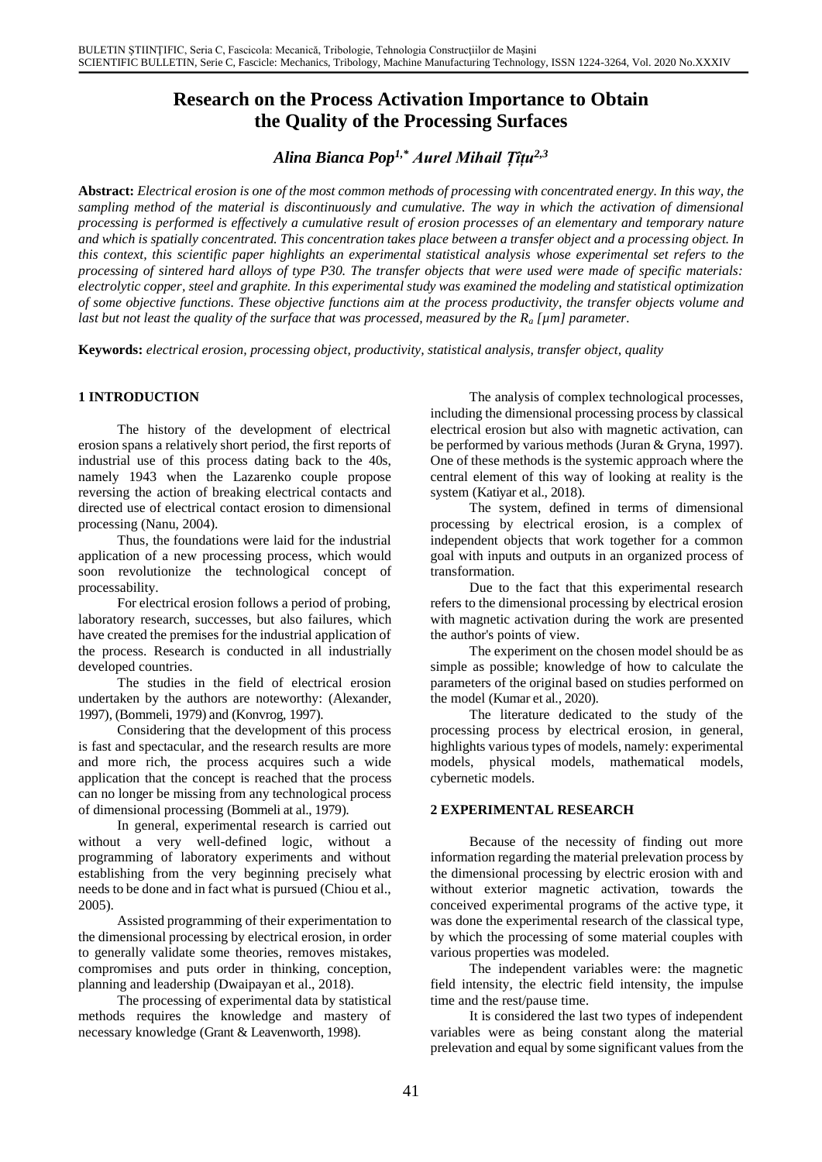# **Research on the Process Activation Importance to Obtain the Quality of the Processing Surfaces**

*Alina Bianca Pop1,\* Aurel Mihail Țîțu2,3*

**Abstract:** *Electrical erosion is one of the most common methods of processing with concentrated energy. In this way, the sampling method of the material is discontinuously and cumulative. The way in which the activation of dimensional processing is performed is effectively a cumulative result of erosion processes of an elementary and temporary nature and which is spatially concentrated. This concentration takes place between a transfer object and a processing object. In this context, this scientific paper highlights an experimental statistical analysis whose experimental set refers to the processing of sintered hard alloys of type P30. The transfer objects that were used were made of specific materials: electrolytic copper, steel and graphite. In this experimental study was examined the modeling and statistical optimization of some objective functions. These objective functions aim at the process productivity, the transfer objects volume and last but not least the quality of the surface that was processed, measured by the R<sup>a</sup> [µm] parameter.*

**Keywords:** *electrical erosion, processing object, productivity, statistical analysis, transfer object, quality*

## **1 INTRODUCTION**

The history of the development of electrical erosion spans a relatively short period, the first reports of industrial use of this process dating back to the 40s, namely 1943 when the Lazarenko couple propose reversing the action of breaking electrical contacts and directed use of electrical contact erosion to dimensional processing (Nanu, 2004).

Thus, the foundations were laid for the industrial application of a new processing process, which would soon revolutionize the technological concept of processability.

For electrical erosion follows a period of probing, laboratory research, successes, but also failures, which have created the premises for the industrial application of the process. Research is conducted in all industrially developed countries.

The studies in the field of electrical erosion undertaken by the authors are noteworthy: (Alexander, 1997), (Bommeli, 1979) and (Konvrog, 1997).

Considering that the development of this process is fast and spectacular, and the research results are more and more rich, the process acquires such a wide application that the concept is reached that the process can no longer be missing from any technological process of dimensional processing (Bommeli at al., 1979).

In general, experimental research is carried out without a very well-defined logic, without a programming of laboratory experiments and without establishing from the very beginning precisely what needs to be done and in fact what is pursued (Chiou et al., 2005).

Assisted programming of their experimentation to the dimensional processing by electrical erosion, in order to generally validate some theories, removes mistakes, compromises and puts order in thinking, conception, planning and leadership (Dwaipayan et al., 2018).

The processing of experimental data by statistical methods requires the knowledge and mastery of necessary knowledge (Grant & Leavenworth, 1998).

The analysis of complex technological processes, including the dimensional processing process by classical electrical erosion but also with magnetic activation, can be performed by various methods (Juran & Gryna, 1997). One of these methods is the systemic approach where the central element of this way of looking at reality is the system (Katiyar et al., 2018).

The system, defined in terms of dimensional processing by electrical erosion, is a complex of independent objects that work together for a common goal with inputs and outputs in an organized process of transformation.

Due to the fact that this experimental research refers to the dimensional processing by electrical erosion with magnetic activation during the work are presented the author's points of view.

The experiment on the chosen model should be as simple as possible; knowledge of how to calculate the parameters of the original based on studies performed on the model (Kumar et al., 2020).

The literature dedicated to the study of the processing process by electrical erosion, in general, highlights various types of models, namely: experimental models, physical models, mathematical models, cybernetic models.

#### **2 EXPERIMENTAL RESEARCH**

Because of the necessity of finding out more information regarding the material prelevation process by the dimensional processing by electric erosion with and without exterior magnetic activation, towards the conceived experimental programs of the active type, it was done the experimental research of the classical type, by which the processing of some material couples with various properties was modeled.

The independent variables were: the magnetic field intensity, the electric field intensity, the impulse time and the rest/pause time.

It is considered the last two types of independent variables were as being constant along the material prelevation and equal by some significant values from the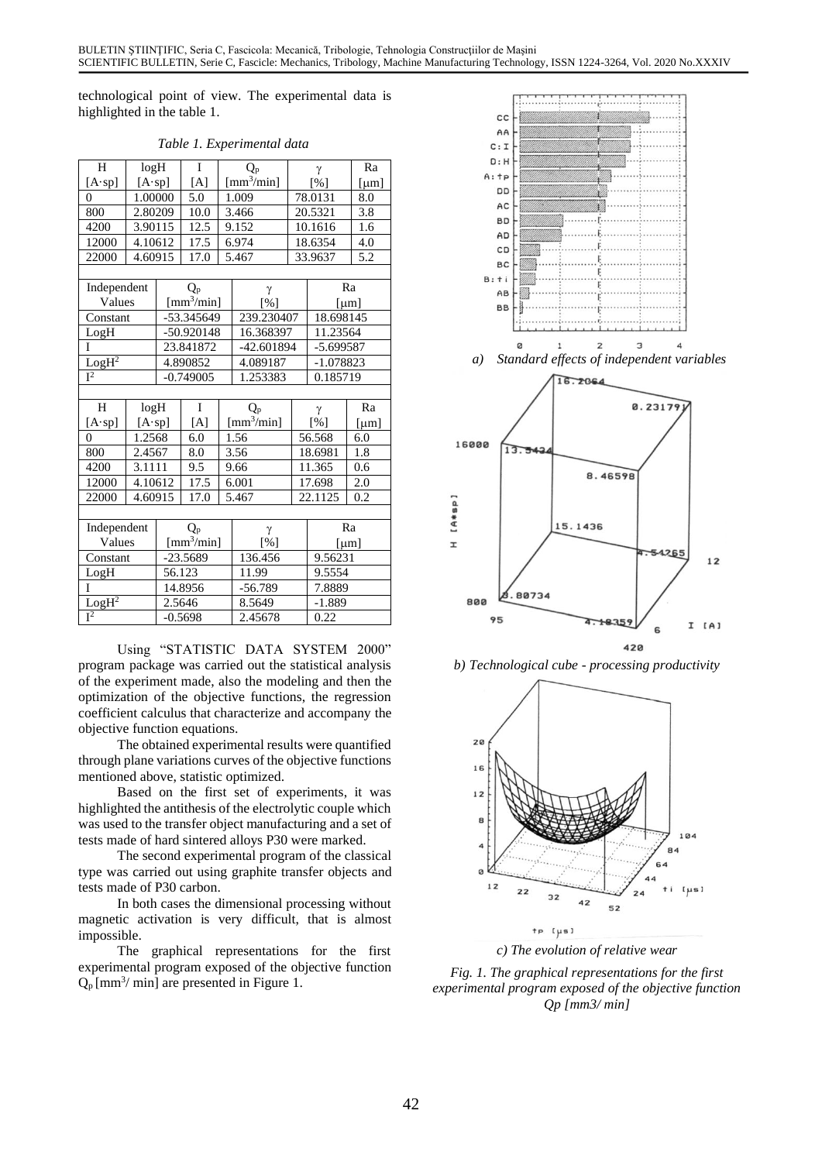technological point of view. The experimental data is highlighted in the table 1.

| H                 | log <sub>H</sub> |              | I    | $Q_{p}$                                 |                   | γ                 |             | Ra           |  |
|-------------------|------------------|--------------|------|-----------------------------------------|-------------------|-------------------|-------------|--------------|--|
| $[A \cdot sp]$    | $[A \cdot sp]$   |              | [A]  | $\left[\text{mm}^{3}/\text{min}\right]$ |                   | [%]               |             | [µm]         |  |
| $\theta$          | 1.00000          |              | 5.0  | 1.009                                   |                   | 78.0131           |             | 8.0          |  |
| 800               | 2.80209          |              | 10.0 | 3.466                                   |                   | 20.5321           |             | 3.8          |  |
| 4200              | 3.90115          |              | 12.5 | 9.152                                   |                   | 10.1616           |             | 1.6          |  |
| 12000             | 4.10612          |              | 17.5 | 6.974                                   |                   | 18.6354           |             | 4.0          |  |
| 22000             | 4.60915          |              | 17.0 |                                         | 5.467             | 33.9637           |             | 5.2          |  |
|                   |                  |              |      |                                         |                   |                   |             |              |  |
| Independent       |                  | Q,           |      |                                         | γ                 |                   |             | Ra           |  |
| Values            |                  | $[mm^3/min]$ |      |                                         | $\lceil\% \rceil$ |                   |             | [µm]         |  |
| Constant          |                  | -53.345649   |      |                                         | 239.230407        |                   | 18.698145   |              |  |
| LogH              |                  | -50.920148   |      |                                         | 16.368397         |                   |             | 11.23564     |  |
| I                 |                  | 23.841872    |      |                                         | -42.601894        |                   | $-5.699587$ |              |  |
| $LogH^2$          |                  | 4.890852     |      |                                         | 4.089187          |                   | -1.078823   |              |  |
| $\overline{I^2}$  |                  | $-0.749005$  |      |                                         | 1.253383          |                   | 0.185719    |              |  |
|                   |                  |              |      |                                         |                   |                   |             |              |  |
| H                 | log <sub>H</sub> |              | I    | $Q_{p}$                                 |                   | γ                 |             | Ra           |  |
| $[A \cdot sp]$    | $[A \cdot sp]$   |              | [A]  | $\left[\text{mm}^{3}/\text{min}\right]$ |                   | $\lceil\% \rceil$ |             | ${\rm [µm]}$ |  |
| $\theta$          | 1.2568           |              | 6.0  | 1.56                                    |                   | 56.568            |             | 6.0          |  |
| 800               | 2.4567           |              | 8.0  | 3.56                                    |                   | 18.6981           |             | 1.8          |  |
| 4200              | 3.1111           |              | 9.5  | 9.66                                    |                   | 11.365            |             | 0.6          |  |
| 12000             | 4.10612          |              | 17.5 | 6.001                                   |                   | 17.698            |             | 2.0          |  |
| 22000             | 4.60915          |              | 17.0 | 5.467                                   |                   | 22.1125           |             | 0.2          |  |
|                   |                  |              |      |                                         |                   |                   |             |              |  |
| Independent       |                  | $Q_{p}$      |      |                                         | γ                 |                   |             | Ra           |  |
| Values            |                  | $[mm^3/min]$ |      |                                         | $\lceil\% \rceil$ | [µm]              |             |              |  |
| Constant          |                  | $-23.5689$   |      |                                         | 136.456           | 9.56231           |             |              |  |
| LogH              |                  | 56.123       |      |                                         | 11.99             |                   | 9.5554      |              |  |
| I                 |                  | 14.8956      |      |                                         | $-56.789$         |                   | 7.8889      |              |  |
| LogH <sup>2</sup> |                  | 2.5646       |      |                                         | 8.5649            | $-1.889$          |             |              |  |
| $\overline{I^2}$  |                  | $-0.5698$    |      |                                         | 2.45678           | 0.22              |             |              |  |

*Table 1. Experimental data* 

Using "STATISTIC DATA SYSTEM 2000" program package was carried out the statistical analysis of the experiment made, also the modeling and then the optimization of the objective functions, the regression coefficient calculus that characterize and accompany the objective function equations.

The obtained experimental results were quantified through plane variations curves of the objective functions mentioned above, statistic optimized.

Based on the first set of experiments, it was highlighted the antithesis of the electrolytic couple which was used to the transfer object manufacturing and a set of tests made of hard sintered alloys P30 were marked.

The second experimental program of the classical type was carried out using graphite transfer objects and tests made of P30 carbon.

In both cases the dimensional processing without magnetic activation is very difficult, that is almost impossible.

The graphical representations for the first experimental program exposed of the objective function  $Q_p$  [mm<sup>3</sup>/ min] are presented in Figure 1.



*b) Technological cube - processing productivity*



*c) The evolution of relative wear*

*Fig. 1. The graphical representations for the first experimental program exposed of the objective function Qp [mm3/ min]*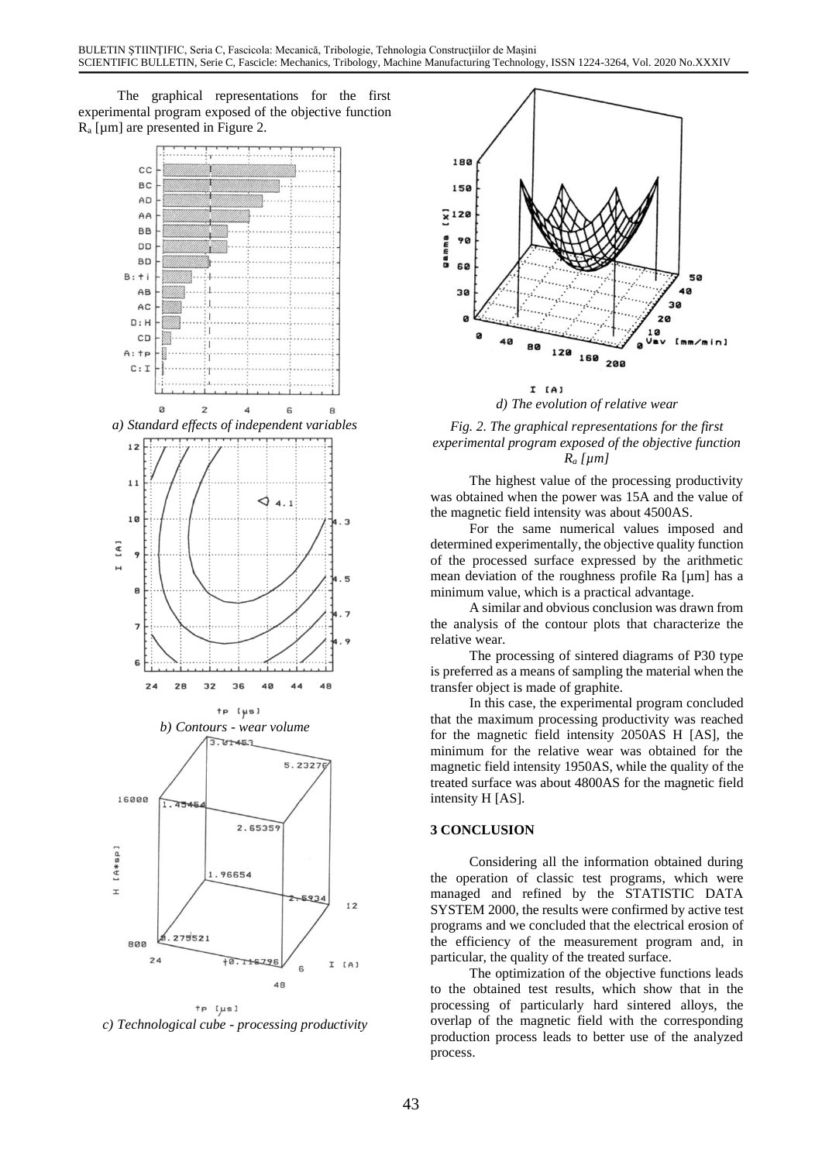The graphical representations for the first experimental program exposed of the objective function R<sup>a</sup> [µm] are presented in Figure 2.



 $tp$  [ $\mu s$ ] *c) Technological cube - processing productivity*



*d) The evolution of relative wear*

## *Fig. 2. The graphical representations for the first experimental program exposed of the objective function R<sup>a</sup> [µm]*

The highest value of the processing productivity was obtained when the power was 15A and the value of the magnetic field intensity was about 4500AS.

For the same numerical values imposed and determined experimentally, the objective quality function of the processed surface expressed by the arithmetic mean deviation of the roughness profile Ra [µm] has a minimum value, which is a practical advantage.

A similar and obvious conclusion was drawn from the analysis of the contour plots that characterize the relative wear.

The processing of sintered diagrams of P30 type is preferred as a means of sampling the material when the transfer object is made of graphite.

In this case, the experimental program concluded that the maximum processing productivity was reached for the magnetic field intensity 2050AS H [AS], the minimum for the relative wear was obtained for the magnetic field intensity 1950AS, while the quality of the treated surface was about 4800AS for the magnetic field intensity H [AS].

## **3 CONCLUSION**

Considering all the information obtained during the operation of classic test programs, which were managed and refined by the STATISTIC DATA SYSTEM 2000, the results were confirmed by active test programs and we concluded that the electrical erosion of the efficiency of the measurement program and, in particular, the quality of the treated surface.

The optimization of the objective functions leads to the obtained test results, which show that in the processing of particularly hard sintered alloys, the overlap of the magnetic field with the corresponding production process leads to better use of the analyzed process.